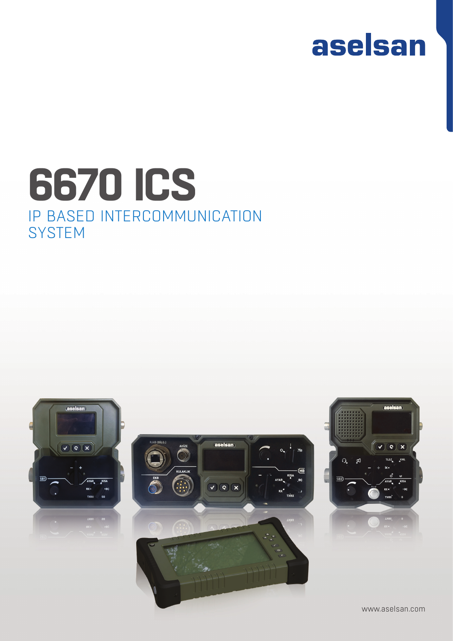## aselsan

### IP BASED INTERCOMMUNICATION **SYSTEM 6670 ICS**



www.aselsan.com